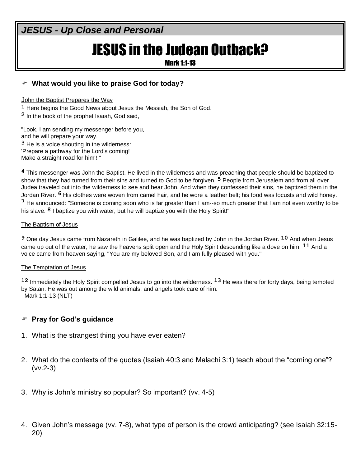# JESUS in the Judean Outback?

Mark 1:1-13

# **What would you like to praise God for today?**

John the Baptist Prepares the Way

**1** Here begins the Good News about Jesus the Messiah, the Son of God.

**2** In the book of the prophet Isaiah, God said,

"Look, I am sending my messenger before you, and he will prepare your way. **3** He is a voice shouting in the wilderness: 'Prepare a pathway for the Lord's coming! Make a straight road for him'! "

**4** This messenger was John the Baptist. He lived in the wilderness and was preaching that people should be baptized to show that they had turned from their sins and turned to God to be forgiven. **5** People from Jerusalem and from all over Judea traveled out into the wilderness to see and hear John. And when they confessed their sins, he baptized them in the Jordan River. **6** His clothes were woven from camel hair, and he wore a leather belt; his food was locusts and wild honey. **7** He announced: "Someone is coming soon who is far greater than I am--so much greater that I am not even worthy to be his slave. **8** I baptize you with water, but he will baptize you with the Holy Spirit!"

#### The Baptism of Jesus

**9** One day Jesus came from Nazareth in Galilee, and he was baptized by John in the Jordan River. **10** And when Jesus came up out of the water, he saw the heavens split open and the Holy Spirit descending like a dove on him. **11** And a voice came from heaven saying, "You are my beloved Son, and I am fully pleased with you."

#### The Temptation of Jesus

**12** Immediately the Holy Spirit compelled Jesus to go into the wilderness. **13** He was there for forty days, being tempted by Satan. He was out among the wild animals, and angels took care of him. Mark 1:1-13 (NLT)

# **Pray for God's guidance**

- 1. What is the strangest thing you have ever eaten?
- 2. What do the contexts of the quotes (Isaiah 40:3 and Malachi 3:1) teach about the "coming one"? (vv.2-3)
- 3. Why is John's ministry so popular? So important? (vv. 4-5)
- 4. Given John's message (vv. 7-8), what type of person is the crowd anticipating? (see Isaiah 32:15- 20)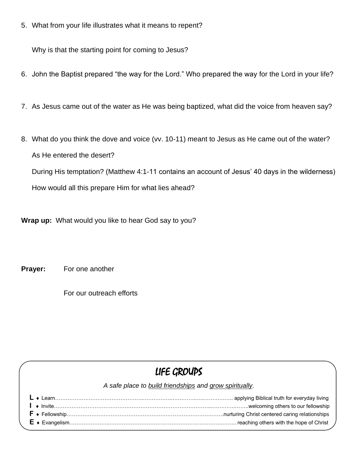5. What from your life illustrates what it means to repent?

Why is that the starting point for coming to Jesus?

- 6. John the Baptist prepared "the way for the Lord." Who prepared the way for the Lord in your life?
- 7. As Jesus came out of the water as He was being baptized, what did the voice from heaven say?
- 8. What do you think the dove and voice (vv. 10-11) meant to Jesus as He came out of the water? As He entered the desert?

During His temptation? (Matthew 4:1-11 contains an account of Jesus' 40 days in the wilderness)

How would all this prepare Him for what lies ahead?

**Wrap up:** What would you like to hear God say to you?

**Prayer:** For one another

For our outreach efforts

# LIFE GROUPS

*A safe place to build friendships and grow spiritually.*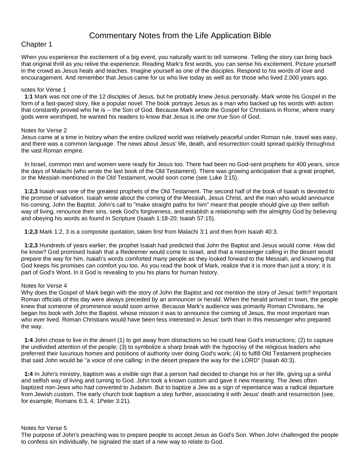# Commentary Notes from the Life Application Bible

### Chapter 1

When you experience the excitement of a big event, you naturally want to tell someone. Telling the story can bring back that original thrill as you relive the experience. Reading Mark's first words, you can sense his excitement. Picture yourself in the crowd as Jesus heals and teaches. Imagine yourself as one of the disciples. Respond to his words of love and encouragement. And remember that Jesus came for us who live today as well as for those who lived 2,000 years ago.

#### Notes for Verse 1

 **1:1** Mark was not one of the 12 disciples of Jesus, but he probably knew Jesus personally. Mark wrote his Gospel in the form of a fast-paced story, like a popular novel. The book portrays Jesus as a man who backed up his words with action that constantly proved who he is -- the Son of God. Because Mark wrote the Gospel for Christians in Rome, where many gods were worshiped, he wanted his readers to know that Jesus is *the one true* Son of God.

#### Notes for Verse 2

Jesus came at a time in history when the entire civilized world was relatively peaceful under Roman rule, travel was easy, and there was a common language. The news about Jesus' life, death, and resurrection could spread quickly throughout the vast Roman empire.

 In Israel, common men and women were ready for Jesus too. There had been no God-sent prophets for 400 years, since the days of Malachi (who wrote the last book of the Old Testament). There was growing anticipation that a great prophet, or the Messiah mentioned in the Old Testament, would soon come (see Luke 3:15).

 **1:2,3** Isaiah was one of the greatest prophets of the Old Testament. The second half of the book of Isaiah is devoted to the promise of salvation. Isaiah wrote about the coming of the Messiah, Jesus Christ, and the man who would announce his coming, John the Baptist. John's call to "make straight paths for him" meant that people should give up their selfish way of living, renounce their sins, seek God's forgiveness, and establish a relationship with the almighty God by believing and obeying his words as found in Scripture (Isaiah 1:18-20; Isaiah 57:15).

**1:2,3** Mark 1:2, 3 is a composite quotation, taken first from Malachi 3:1 and then from Isaiah 40:3.

 **1:2,3** Hundreds of years earlier, the prophet Isaiah had predicted that John the Baptist and Jesus would come. How did he know? God promised Isaiah that a Redeemer would come to Israel, and that a messenger calling in the desert would prepare the way for him. Isaiah's words comforted many people as they looked forward to the Messiah, and knowing that God keeps his promises can comfort you too. As you read the book of Mark, realize that it is more than just a story; it is part of God's Word. In it God is revealing to you his plans for human history.

#### Notes for Verse 4

Why does the Gospel of Mark begin with the story of John the Baptist and not mention the story of Jesus' birth? Important Roman officials of this day were always preceded by an announcer or herald. When the herald arrived in town, the people knew that someone of prominence would soon arrive. Because Mark's audience was primarily Roman Christians, he began his book with John the Baptist, whose mission it was to announce the coming of Jesus, the most important man who ever lived. Roman Christians would have been less interested in Jesus' birth than in this messenger who prepared the way.

 **1:4** John chose to live in the desert (1) to get away from distractions so he could hear God's instructions; (2) to capture the undivided attention of the people; (3) to symbolize a sharp break with the hypocrisy of the religious leaders who preferred their luxurious homes and positions of authority over doing God's work; (4) to fulfill Old Testament prophecies that said John would be "a voice of one calling: in the desert prepare the way for the LORD" (Isaiah 40:3).

 **1:4** In John's ministry, baptism was a visible sign that a person had decided to change his or her life, giving up a sinful and selfish way of living and turning to God. John took a known custom and gave it new meaning. The Jews often baptized non-Jews who had converted to Judaism. But to baptize a Jew as a sign of repentance was a radical departure from Jewish custom. The early church took baptism a step further, associating it with Jesus' death and resurrection (see, for example, Romans 6:3, 4; 1Peter 3:21).

#### Notes for Verse 5

The purpose of John's preaching was to prepare people to accept Jesus as God's Son. When John challenged the people to confess sin individually, he signaled the start of a new way to relate to God.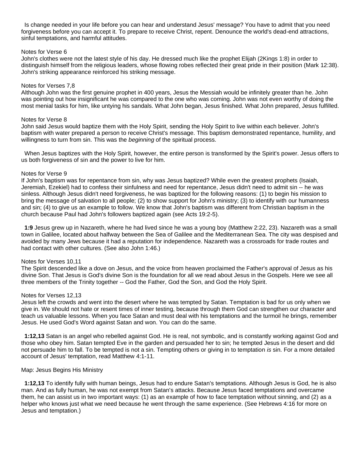Is change needed in your life before you can hear and understand Jesus' message? You have to admit that you need forgiveness before you can accept it. To prepare to receive Christ, repent. Denounce the world's dead-end attractions, sinful temptations, and harmful attitudes.

#### Notes for Verse 6

John's clothes were not the latest style of his day. He dressed much like the prophet Elijah (2Kings 1:8) in order to distinguish himself from the religious leaders, whose flowing robes reflected their great pride in their position (Mark 12:38). John's striking appearance reinforced his striking message.

#### Notes for Verses 7,8

Although John was the first genuine prophet in 400 years, Jesus the Messiah would be infinitely greater than he. John was pointing out how insignificant he was compared to the one who was coming. John was not even worthy of doing the most menial tasks for him, like untying his sandals. What John began, Jesus finished. What John prepared, Jesus fulfilled.

#### Notes for Verse 8

John said Jesus would baptize them with the Holy Spirit, sending the Holy Spirit to live within each believer. John's baptism with water prepared a person to receive Christ's message. This baptism demonstrated repentance, humility, and willingness to turn from sin. This was the *beginning* of the spiritual process.

 When Jesus baptizes with the Holy Spirit, however, the entire person is transformed by the Spirit's power. Jesus offers to us both forgiveness of sin and the power to live for him.

#### Notes for Verse 9

If John's baptism was for repentance from sin, why was Jesus baptized? While even the greatest prophets (Isaiah, Jeremiah, Ezekiel) had to confess their sinfulness and need for repentance, Jesus didn't need to admit sin -- he was sinless. Although Jesus didn't need forgiveness, he was baptized for the following reasons: (1) to begin his mission to bring the message of salvation to all people; (2) to show support for John's ministry; (3) to identify with our humanness and sin; (4) to give us an example to follow. We know that John's baptism was different from Christian baptism in the church because Paul had John's followers baptized again (see Acts 19:2-5).

 **1:9** Jesus grew up in Nazareth, where he had lived since he was a young boy (Matthew 2:22, 23). Nazareth was a small town in Galilee, located about halfway between the Sea of Galilee and the Mediterranean Sea. The city was despised and avoided by many Jews because it had a reputation for independence. Nazareth was a crossroads for trade routes and had contact with other cultures. (See also John 1:46.)

#### Notes for Verses 10,11

The Spirit descended like a dove on Jesus, and the voice from heaven proclaimed the Father's approval of Jesus as his divine Son. That Jesus is God's divine Son is the foundation for all we read about Jesus in the Gospels. Here we see all three members of the Trinity together -- God the Father, God the Son, and God the Holy Spirit.

#### Notes for Verses 12,13

Jesus left the crowds and went into the desert where he was tempted by Satan. Temptation is bad for us only when we give in. We should not hate or resent times of inner testing, because through them God can strengthen our character and teach us valuable lessons. When you face Satan and must deal with his temptations and the turmoil he brings, remember Jesus. He used God's Word against Satan and won. You can do the same.

 **1:12,13** Satan is an angel who rebelled against God. He is real, not symbolic, and is constantly working against God and those who obey him. Satan tempted Eve in the garden and persuaded her to sin; he tempted Jesus in the desert and did not persuade him to fall. To be tempted is not a sin. Tempting others or giving in to temptation *is* sin. For a more detailed account of Jesus' temptation, read Matthew 4:1-11.

#### Map: Jesus Begins His Ministry

 **1:12,13** To identify fully with human beings, Jesus had to endure Satan's temptations. Although Jesus is God, he is also man. And as fully human, he was not exempt from Satan's attacks. Because Jesus faced temptations and overcame them, he can assist us in two important ways: (1) as an example of how to face temptation without sinning, and (2) as a helper who knows just what we need because he went through the same experience. (See Hebrews 4:16 for more on Jesus and temptation.)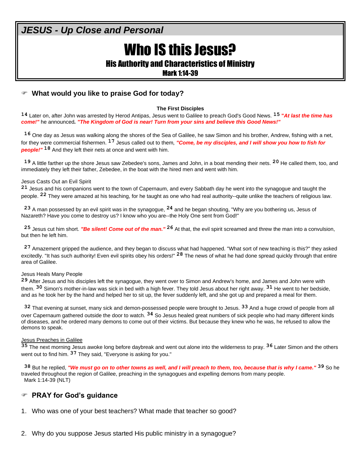# Who IS this Jesus?

His Authority and Characteristics of Ministry

Mark 1:14-39

# **What would you like to praise God for today?**

#### **The First Disciples**

**14** Later on, after John was arrested by Herod Antipas, Jesus went to Galilee to preach God's Good News. **15 "***At last the time has come!"* he announced*. "The Kingdom of God is near! Turn from your sins and believe this Good News!"*

**16** One day as Jesus was walking along the shores of the Sea of Galilee, he saw Simon and his brother, Andrew, fishing with a net, for they were commercial fishermen. **17** Jesus called out to them*, "Come, be my disciples, and I will show you how to fish for people!"* **18** And they left their nets at once and went with him.

**19** A little farther up the shore Jesus saw Zebedee's sons, James and John, in a boat mending their nets. **20** He called them, too, and immediately they left their father, Zebedee, in the boat with the hired men and went with him.

#### Jesus Casts Out an Evil Spirit

**21** Jesus and his companions went to the town of Capernaum, and every Sabbath day he went into the synagogue and taught the people. **22** They were amazed at his teaching, for he taught as one who had real authority--quite unlike the teachers of religious law.

**23** A man possessed by an evil spirit was in the synagogue, **24** and he began shouting, "Why are you bothering us, Jesus of Nazareth? Have you come to destroy us? I know who you are--the Holy One sent from God!"

**25** Jesus cut him short. *"Be silent! Come out of the man."* **26** At that, the evil spirit screamed and threw the man into a convulsion, but then he left him.

**27** Amazement gripped the audience, and they began to discuss what had happened. "What sort of new teaching is this?" they asked excitedly. "It has such authority! Even evil spirits obey his orders!" **28** The news of what he had done spread quickly through that entire area of Galilee.

#### Jesus Heals Many People

**29** After Jesus and his disciples left the synagogue, they went over to Simon and Andrew's home, and James and John were with them. **30** Simon's mother-in-law was sick in bed with a high fever. They told Jesus about her right away. **31** He went to her bedside, and as he took her by the hand and helped her to sit up, the fever suddenly left, and she got up and prepared a meal for them.

**32** That evening at sunset, many sick and demon-possessed people were brought to Jesus. **33** And a huge crowd of people from all over Capernaum gathered outside the door to watch. **34** So Jesus healed great numbers of sick people who had many different kinds of diseases, and he ordered many demons to come out of their victims. But because they knew who he was, he refused to allow the demons to speak.

#### Jesus Preaches in Galilee

**35** The next morning Jesus awoke long before daybreak and went out alone into the wilderness to pray. **36** Later Simon and the others went out to find him. **37** They said, "Everyone is asking for you."

**38** But he replied, *"We must go on to other towns as well, and I will preach to them, too, because that is why I came."* **39** So he traveled throughout the region of Galilee, preaching in the synagogues and expelling demons from many people. Mark 1:14-39 (NLT)

### **PRAY for God's guidance**

- 1. Who was one of your best teachers? What made that teacher so good?
- 2. Why do you suppose Jesus started His public ministry in a synagogue?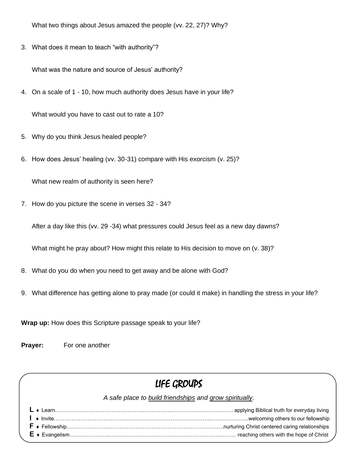What two things about Jesus amazed the people (vv. 22, 27)? Why?

3. What does it mean to teach "with authority"?

What was the nature and source of Jesus' authority?

4. On a scale of 1 - 10, how much authority does Jesus have in your life?

What would you have to cast out to rate a 10?

- 5. Why do you think Jesus healed people?
- 6. How does Jesus' healing (vv. 30-31) compare with His exorcism (v. 25)?

What new realm of authority is seen here?

7. How do you picture the scene in verses 32 - 34?

After a day like this (vv. 29 -34) what pressures could Jesus feel as a new day dawns?

What might he pray about? How might this relate to His decision to move on (v. 38)?

- 8. What do you do when you need to get away and be alone with God?
- 9. What difference has getting alone to pray made (or could it make) in handling the stress in your life?

**Wrap up:** How does this Scripture passage speak to your life?

**Prayer:** For one another

# LIFE GROUPS

*A safe place to build friendships and grow spiritually.*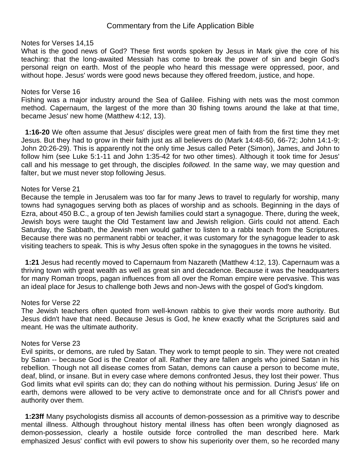# Commentary from the Life Application Bible

### Notes for Verses 14,15

What is the good news of God? These first words spoken by Jesus in Mark give the core of his teaching: that the long-awaited Messiah has come to break the power of sin and begin God's personal reign on earth. Most of the people who heard this message were oppressed, poor, and without hope. Jesus' words were good news because they offered freedom, justice, and hope.

### Notes for Verse 16

Fishing was a major industry around the Sea of Galilee. Fishing with nets was the most common method. Capernaum, the largest of the more than 30 fishing towns around the lake at that time, became Jesus' new home (Matthew 4:12, 13).

 **1:16-20** We often assume that Jesus' disciples were great men of faith from the first time they met Jesus. But they had to grow in their faith just as all believers do (Mark 14:48-50, 66-72; John 14:1-9; John 20:26-29). This is apparently not the only time Jesus called Peter (Simon), James, and John to follow him (see Luke 5:1-11 and John 1:35-42 for two other times). Although it took time for Jesus' call and his message to get through, the disciples *followed.* In the same way, we may question and falter, but we must never stop following Jesus.

#### Notes for Verse 21

Because the temple in Jerusalem was too far for many Jews to travel to regularly for worship, many towns had synagogues serving both as places of worship and as schools. Beginning in the days of Ezra, about 450 B.C., a group of ten Jewish families could start a synagogue. There, during the week, Jewish boys were taught the Old Testament law and Jewish religion. Girls could not attend. Each Saturday, the Sabbath, the Jewish men would gather to listen to a rabbi teach from the Scriptures. Because there was no permanent rabbi or teacher, it was customary for the synagogue leader to ask visiting teachers to speak. This is why Jesus often spoke in the synagogues in the towns he visited.

 **1:21** Jesus had recently moved to Capernaum from Nazareth (Matthew 4:12, 13). Capernaum was a thriving town with great wealth as well as great sin and decadence. Because it was the headquarters for many Roman troops, pagan influences from all over the Roman empire were pervasive. This was an ideal place for Jesus to challenge both Jews and non-Jews with the gospel of God's kingdom.

#### Notes for Verse 22

The Jewish teachers often quoted from well-known rabbis to give their words more authority. But Jesus didn't have that need. Because Jesus is God, he knew exactly what the Scriptures said and meant. He was the ultimate authority.

#### Notes for Verse 23

Evil spirits, or demons, are ruled by Satan. They work to tempt people to sin. They were not created by Satan -- because God is the Creator of all. Rather they are fallen angels who joined Satan in his rebellion. Though not all disease comes from Satan, demons can cause a person to become mute, deaf, blind, or insane. But in every case where demons confronted Jesus, they lost their power. Thus God limits what evil spirits can do; they can do nothing without his permission. During Jesus' life on earth, demons were allowed to be very active to demonstrate once and for all Christ's power and authority over them.

 **1:23ff** Many psychologists dismiss all accounts of demon-possession as a primitive way to describe mental illness. Although throughout history mental illness has often been wrongly diagnosed as demon-possession, clearly a hostile outside force controlled the man described here. Mark emphasized Jesus' conflict with evil powers to show his superiority over them, so he recorded many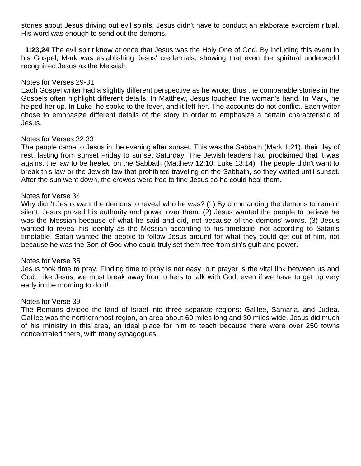stories about Jesus driving out evil spirits. Jesus didn't have to conduct an elaborate exorcism ritual. His word was enough to send out the demons.

 **1:23,24** The evil spirit knew at once that Jesus was the Holy One of God. By including this event in his Gospel, Mark was establishing Jesus' credentials, showing that even the spiritual underworld recognized Jesus as the Messiah.

### Notes for Verses 29-31

Each Gospel writer had a slightly different perspective as he wrote; thus the comparable stories in the Gospels often highlight different details. In Matthew, Jesus touched the woman's hand. In Mark, he helped her up. In Luke, he spoke to the fever, and it left her. The accounts do not conflict. Each writer chose to emphasize different details of the story in order to emphasize a certain characteristic of Jesus.

### Notes for Verses 32,33

The people came to Jesus in the evening after sunset. This was the Sabbath (Mark 1:21), their day of rest, lasting from sunset Friday to sunset Saturday. The Jewish leaders had proclaimed that it was against the law to be healed on the Sabbath (Matthew 12:10; Luke 13:14). The people didn't want to break this law or the Jewish law that prohibited traveling on the Sabbath, so they waited until sunset. After the sun went down, the crowds were free to find Jesus so he could heal them.

### Notes for Verse 34

Why didn't Jesus want the demons to reveal who he was? (1) By commanding the demons to remain silent, Jesus proved his authority and power over them. (2) Jesus wanted the people to believe he was the Messiah because of what he said and did, not because of the demons' words. (3) Jesus wanted to reveal his identity as the Messiah according to his timetable, not according to Satan's timetable. Satan wanted the people to follow Jesus around for what they could get out of him, not because he was the Son of God who could truly set them free from sin's guilt and power.

# Notes for Verse 35

Jesus took time to pray. Finding time to pray is not easy, but prayer is the vital link between us and God. Like Jesus, we must break away from others to talk with God, even if we have to get up very early in the morning to do it!

### Notes for Verse 39

The Romans divided the land of Israel into three separate regions: Galilee, Samaria, and Judea. Galilee was the northernmost region, an area about 60 miles long and 30 miles wide. Jesus did much of his ministry in this area, an ideal place for him to teach because there were over 250 towns concentrated there, with many synagogues.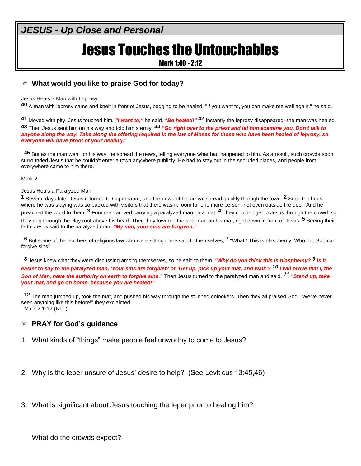# Jesus Touches the Untouchables

Mark 1:40 - 2:12

# **What would you like to praise God for today?**

Jesus Heals a Man with Leprosy

**40** A man with leprosy came and knelt in front of Jesus, begging to be healed. "If you want to, you can make me well again," he said.

**41** Moved with pity, Jesus touched him*. "I want to,"* he said*. "Be healed!"* **42** Instantly the leprosy disappeared--the man was healed. **43** Then Jesus sent him on his way and told him sternly, *44 "Go right over to the priest and let him examine you. Don't talk to anyone along the way. Take along the offering required in the law of Moses for those who have been healed of leprosy, so everyone will have proof of your healing."*

**45** But as the man went on his way, he spread the news, telling everyone what had happened to him. As a result, such crowds soon surrounded Jesus that he couldn't enter a town anywhere publicly. He had to stay out in the secluded places, and people from everywhere came to him there.

Mark 2

#### Jesus Heals a Paralyzed Man

**1** Several days later Jesus returned to Capernaum, and the news of his arrival spread quickly through the town. **2** Soon the house where he was staying was so packed with visitors that there wasn't room for one more person, not even outside the door. And he preached the word to them. **3** Four men arrived carrying a paralyzed man on a mat. **4** They couldn't get to Jesus through the crowd, so they dug through the clay roof above his head. Then they lowered the sick man on his mat, right down in front of Jesus. **5** Seeing their faith, Jesus said to the paralyzed man, *"My son, your sins are forgiven."*

**6** But some of the teachers of religious law who were sitting there said to themselves, **7** "What? This is blasphemy! Who but God can forgive sins!"

**8** Jesus knew what they were discussing among themselves, so he said to them, *"Why do you think this is blasphemy? 9 Is it easier to say to the paralyzed man, 'Your sins are forgiven' or 'Get up, pick up your mat, and walk'? 10 I will prove that I, the Son of Man, have the authority on earth to forgive sins."* Then Jesus turned to the paralyzed man and said, *11 "Stand up, take your mat, and go on home, because you are healed!"*

**12** The man jumped up, took the mat, and pushed his way through the stunned onlookers. Then they all praised God. "We've never seen anything like this before!" they exclaimed. Mark 2:1-12 (NLT)

# **PRAY for God's guidance**

- 1. What kinds of "things" make people feel unworthy to come to Jesus?
- 2. Why is the leper unsure of Jesus' desire to help? (See Leviticus 13:45,46)
- 3. What is significant about Jesus touching the leper prior to healing him?

What do the crowds expect?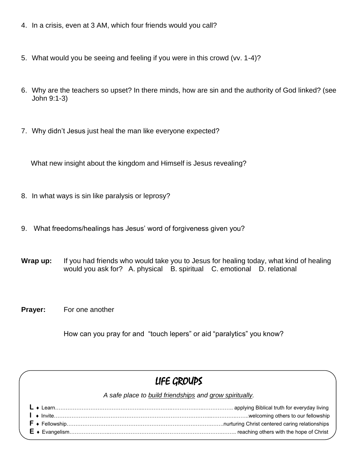- 4. In a crisis, even at 3 AM, which four friends would you call?
- 5. What would you be seeing and feeling if you were in this crowd (vv. 1-4)?
- 6. Why are the teachers so upset? In there minds, how are sin and the authority of God linked? (see John 9:1-3)
- 7. Why didn't Jesus just heal the man like everyone expected?

What new insight about the kingdom and Himself is Jesus revealing?

- 8. In what ways is sin like paralysis or leprosy?
- 9. What freedoms/healings has Jesus' word of forgiveness given you?
- **Wrap up:** If you had friends who would take you to Jesus for healing today, what kind of healing would you ask for? A. physical B. spiritual C. emotional D. relational
- **Prayer:** For one another

How can you pray for and "touch lepers" or aid "paralytics" you know?

# LIFE GROUPS

*A safe place to build friendships and grow spiritually.*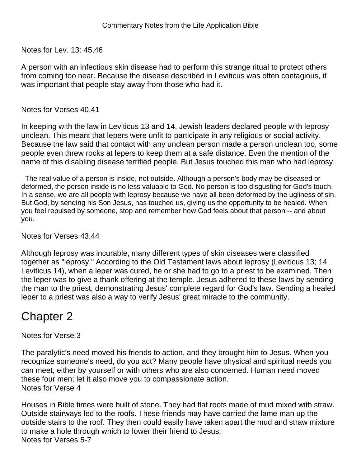Notes for Lev. 13: 45,46

A person with an infectious skin disease had to perform this strange ritual to protect others from coming too near. Because the disease described in Leviticus was often contagious, it was important that people stay away from those who had it.

Notes for Verses 40,41

In keeping with the law in Leviticus 13 and 14, Jewish leaders declared people with leprosy unclean. This meant that lepers were unfit to participate in any religious or social activity. Because the law said that contact with any unclean person made a person unclean too, some people even threw rocks at lepers to keep them at a safe distance. Even the mention of the name of this disabling disease terrified people. But Jesus touched this man who had leprosy.

 The real value of a person is inside, not outside. Although a person's body may be diseased or deformed, the person inside is no less valuable to God. No person is too disgusting for God's touch. In a sense, we are all people with leprosy because we have all been deformed by the ugliness of sin. But God, by sending his Son Jesus, has touched us, giving us the opportunity to be healed. When you feel repulsed by someone, stop and remember how God feels about that person -- and about you.

Notes for Verses 43,44

Although leprosy was incurable, many different types of skin diseases were classified together as "leprosy." According to the Old Testament laws about leprosy (Leviticus 13; 14 Leviticus 14), when a leper was cured, he or she had to go to a priest to be examined. Then the leper was to give a thank offering at the temple. Jesus adhered to these laws by sending the man to the priest, demonstrating Jesus' complete regard for God's law. Sending a healed leper to a priest was also a way to verify Jesus' great miracle to the community.

# Chapter 2

Notes for Verse 3

The paralytic's need moved his friends to action, and they brought him to Jesus. When you recognize someone's need, do you act? Many people have physical and spiritual needs you can meet, either by yourself or with others who are also concerned. Human need moved these four men; let it also move you to compassionate action. Notes for Verse 4

Houses in Bible times were built of stone. They had flat roofs made of mud mixed with straw. Outside stairways led to the roofs. These friends may have carried the lame man up the outside stairs to the roof. They then could easily have taken apart the mud and straw mixture to make a hole through which to lower their friend to Jesus. Notes for Verses 5-7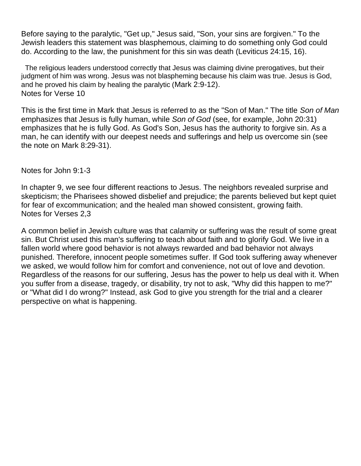Before saying to the paralytic, "Get up," Jesus said, "Son, your sins are forgiven." To the Jewish leaders this statement was blasphemous, claiming to do something only God could do. According to the law, the punishment for this sin was death (Leviticus 24:15, 16).

 The religious leaders understood correctly that Jesus was claiming divine prerogatives, but their judgment of him was wrong. Jesus was not blaspheming because his claim was true. Jesus is God, and he proved his claim by healing the paralytic (Mark 2:9-12). Notes for Verse 10

This is the first time in Mark that Jesus is referred to as the "Son of Man." The title *Son of Man* emphasizes that Jesus is fully human, while *Son of God* (see, for example, John 20:31) emphasizes that he is fully God. As God's Son, Jesus has the authority to forgive sin. As a man, he can identify with our deepest needs and sufferings and help us overcome sin (see the note on Mark 8:29-31).

Notes for John 9:1-3

In chapter 9, we see four different reactions to Jesus. The neighbors revealed surprise and skepticism; the Pharisees showed disbelief and prejudice; the parents believed but kept quiet for fear of excommunication; and the healed man showed consistent, growing faith. Notes for Verses 2,3

A common belief in Jewish culture was that calamity or suffering was the result of some great sin. But Christ used this man's suffering to teach about faith and to glorify God. We live in a fallen world where good behavior is not always rewarded and bad behavior not always punished. Therefore, innocent people sometimes suffer. If God took suffering away whenever we asked, we would follow him for comfort and convenience, not out of love and devotion. Regardless of the reasons for our suffering, Jesus has the power to help us deal with it. When you suffer from a disease, tragedy, or disability, try not to ask, "Why did this happen to me?" or "What did I do wrong?" Instead, ask God to give you strength for the trial and a clearer perspective on what is happening.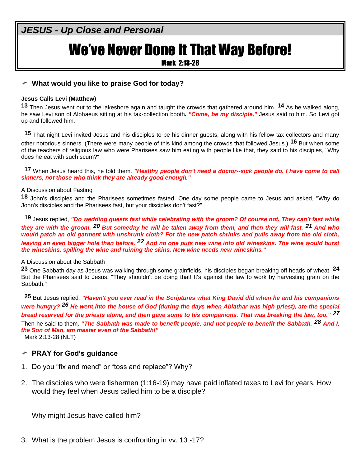# We've Never Done It That Way Before!

Mark 2:13-28

# **What would you like to praise God for today?**

### **Jesus Calls Levi (Matthew)**

**13** Then Jesus went out to the lakeshore again and taught the crowds that gathered around him. **14** As he walked along, he saw Levi son of Alphaeus sitting at his tax-collection booth**.** *"Come, be my disciple,"* Jesus said to him. So Levi got up and followed him.

**15** That night Levi invited Jesus and his disciples to be his dinner guests, along with his fellow tax collectors and many other notorious sinners. (There were many people of this kind among the crowds that followed Jesus.) **16** But when some of the teachers of religious law who were Pharisees saw him eating with people like that, they said to his disciples, "Why does he eat with such scum?"

**17** When Jesus heard this, he told them*, "Healthy people don't need a doctor--sick people do. I have come to call sinners, not those who think they are already good enough."*

#### A Discussion about Fasting

**18** John's disciples and the Pharisees sometimes fasted. One day some people came to Jesus and asked, "Why do John's disciples and the Pharisees fast, but your disciples don't fast?"

**19** Jesus replied, *"Do wedding guests fast while celebrating with the groom? Of course not. They can't fast while they are with the groom. 20 But someday he will be taken away from them, and then they will fast. 21 And who would patch an old garment with unshrunk cloth? For the new patch shrinks and pulls away from the old cloth, leaving an even bigger hole than before. 22 And no one puts new wine into old wineskins. The wine would burst the wineskins, spilling the wine and ruining the skins. New wine needs new wineskins."*

### A Discussion about the Sabbath

**23** One Sabbath day as Jesus was walking through some grainfields, his disciples began breaking off heads of wheat. **24** But the Pharisees said to Jesus, "They shouldn't be doing that! It's against the law to work by harvesting grain on the Sabbath."

**25** But Jesus replied*, "Haven't you ever read in the Scriptures what King David did when he and his companions were hungry? 26 He went into the house of God (during the days when Abiathar was high priest), ate the special bread reserved for the priests alone, and then gave some to his companions. That was breaking the law, too." 27* Then he said to them*, "The Sabbath was made to benefit people, and not people to benefit the Sabbath. 28 And I, the Son of Man, am master even of the Sabbath!"* Mark 2:13-28 (NLT)

# **PRAY for God's guidance**

- 1. Do you "fix and mend" or "toss and replace"? Why?
- 2. The disciples who were fishermen (1:16-19) may have paid inflated taxes to Levi for years. How would they feel when Jesus called him to be a disciple?

Why might Jesus have called him?

3. What is the problem Jesus is confronting in vv. 13 -17?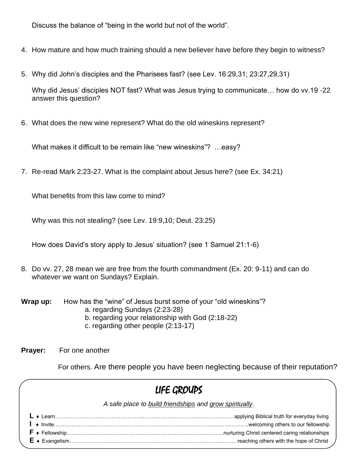Discuss the balance of "being in the world but not of the world".

- 4. How mature and how much training should a new believer have before they begin to witness?
- 5. Why did John's disciples and the Pharisees fast? (see Lev. 16:29,31; 23:27,29,31)

Why did Jesus' disciples NOT fast? What was Jesus trying to communicate… how do vv.19 -22 answer this question?

6. What does the new wine represent? What do the old wineskins represent?

What makes it difficult to be remain like "new wineskins"? …easy?

7. Re-read Mark 2:23-27. What is the complaint about Jesus here? (see Ex. 34:21)

What benefits from this law come to mind?

Why was this not stealing? (see Lev. 19:9,10; Deut. 23:25)

How does David's story apply to Jesus' situation? (see 1 Samuel 21:1-6)

8. Do vv. 27, 28 mean we are free from the fourth commandment (Ex. 20: 9-11) and can do whatever we want on Sundays? Explain.

| Wrap up: | How has the "wine" of Jesus burst some of your "old wineskins"? |
|----------|-----------------------------------------------------------------|
|          | a. regarding Sundays (2:23-28)                                  |
|          | b. regarding your relationship with God (2:18-22)               |

- c. regarding other people (2:13-17)
- **Prayer:** For one another

For others. Are there people you have been neglecting because of their reputation?

| LIFE GROUPS |                                                         |
|-------------|---------------------------------------------------------|
|             | A safe place to build friendships and grow spiritually. |
|             |                                                         |
|             |                                                         |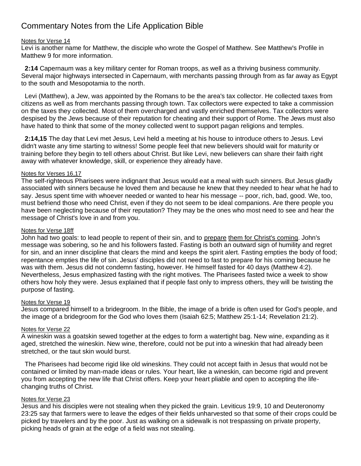# Commentary Notes from the Life Application Bible

#### Notes for Verse 14

Levi is another name for Matthew, the disciple who wrote the Gospel of Matthew. See Matthew's Profile in Matthew 9 for more information.

 **2:14** Capernaum was a key military center for Roman troops, as well as a thriving business community. Several major highways intersected in Capernaum, with merchants passing through from as far away as Egypt to the south and Mesopotamia to the north.

 Levi (Matthew), a Jew, was appointed by the Romans to be the area's tax collector. He collected taxes from citizens as well as from merchants passing through town. Tax collectors were expected to take a commission on the taxes they collected. Most of them overcharged and vastly enriched themselves. Tax collectors were despised by the Jews because of their reputation for cheating and their support of Rome. The Jews must also have hated to think that some of the money collected went to support pagan religions and temples.

 **2:14,15** The day that Levi met Jesus, Levi held a meeting at his house to introduce others to Jesus. Levi didn't waste any time starting to witness! Some people feel that new believers should wait for maturity or training before they begin to tell others about Christ. But like Levi, new believers can share their faith right away with whatever knowledge, skill, or experience they already have.

#### Notes for Verses 16,17

The self-righteous Pharisees were indignant that Jesus would eat a meal with such sinners. But Jesus gladly associated with sinners because he loved them and because he knew that they needed to hear what he had to say. Jesus spent time with whoever needed or wanted to hear his message -- poor, rich, bad, good. We, too, must befriend those who need Christ, even if they do not seem to be ideal companions. Are there people you have been neglecting because of their reputation? They may be the ones who most need to see and hear the message of Christ's love in and from you.

#### Notes for Verse 18ff

John had two goals: to lead people to repent of their sin, and to prepare them for Christ's coming. John's message was sobering, so he and his followers fasted. Fasting is both an outward sign of humility and regret for sin, and an inner discipline that clears the mind and keeps the spirit alert. Fasting empties the body of food; repentance empties the life of sin. Jesus' disciples did not need to fast to prepare for his coming because he was with them. Jesus did not condemn fasting, however. He himself fasted for 40 days (Matthew 4:2). Nevertheless, Jesus emphasized fasting with the right motives. The Pharisees fasted twice a week to show others how holy they were. Jesus explained that if people fast only to impress others, they will be twisting the purpose of fasting.

#### Notes for Verse 19

Jesus compared himself to a bridegroom. In the Bible, the image of a bride is often used for God's people, and the image of a bridegroom for the God who loves them (Isaiah 62:5; Matthew 25:1-14; Revelation 21:2).

#### Notes for Verse 22

A wineskin was a goatskin sewed together at the edges to form a watertight bag. New wine, expanding as it aged, stretched the wineskin. New wine, therefore, could not be put into a wineskin that had already been stretched, or the taut skin would burst.

 The Pharisees had become rigid like old wineskins. They could not accept faith in Jesus that would not be contained or limited by man-made ideas or rules. Your heart, like a wineskin, can become rigid and prevent you from accepting the new life that Christ offers. Keep your heart pliable and open to accepting the lifechanging truths of Christ.

#### Notes for Verse 23

Jesus and his disciples were not stealing when they picked the grain. Leviticus 19:9, 10 and Deuteronomy 23:25 say that farmers were to leave the edges of their fields unharvested so that some of their crops could be picked by travelers and by the poor. Just as walking on a sidewalk is not trespassing on private property, picking heads of grain at the edge of a field was not stealing.